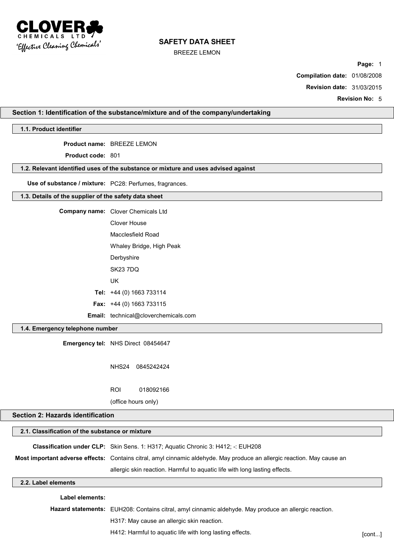

BREEZE LEMON

**Page:** 1

**Compilation date:** 01/08/2008

**Revision date:** 31/03/2015

**Revision No:** 5

## **Section 1: Identification of the substance/mixture and of the company/undertaking**

**1.1. Product identifier**

**Product name:** BREEZE LEMON

**Product code:** 801

#### **1.2. Relevant identified uses of the substance or mixture and uses advised against**

**Use of substance / mixture:** PC28: Perfumes, fragrances.

#### **1.3. Details of the supplier of the safety data sheet**

| Company name: Clover Chemicals Ltd          |  |
|---------------------------------------------|--|
| Clover House                                |  |
| Macclesfield Road                           |  |
| Whaley Bridge, High Peak                    |  |
| Derbyshire                                  |  |
| SK23 7DQ                                    |  |
| UK                                          |  |
| Tel: $+44$ (0) 1663 733114                  |  |
| <b>Fax:</b> $+44$ (0) 1663 733115           |  |
| <b>Email:</b> technical@cloverchemicals.com |  |

## **1.4. Emergency telephone number**

**Emergency tel:** NHS Direct 08454647

NHS24 0845242424

ROI 018092166

(office hours only)

# **Section 2: Hazards identification**

| 2.1. Classification of the substance or mixture |                                                                                                                         |  |
|-------------------------------------------------|-------------------------------------------------------------------------------------------------------------------------|--|
|                                                 | <b>Classification under CLP:</b> Skin Sens. 1: H317; Aquatic Chronic 3: H412; -: EUH208                                 |  |
|                                                 | Most important adverse effects: Contains citral, amyl cinnamic aldehyde. May produce an allergic reaction. May cause an |  |
|                                                 | allergic skin reaction. Harmful to aquatic life with long lasting effects.                                              |  |
| 2.2. Label elements                             |                                                                                                                         |  |
| _abel elements:                                 |                                                                                                                         |  |

**Hazard statements:** EUH208: Contains citral, amyl cinnamic aldehyde. May produce an allergic reaction. H317: May cause an allergic skin reaction. H412: Harmful to aquatic life with long lasting effects. The state of the state of cont...]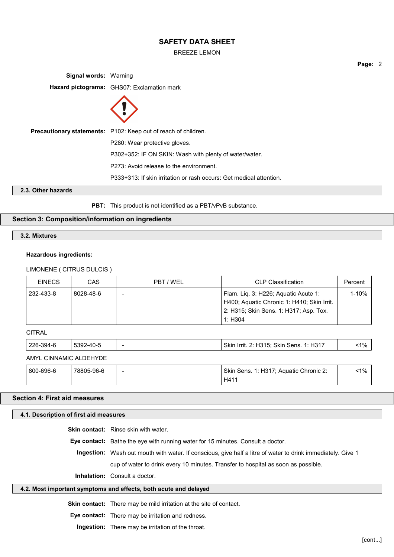BREEZE LEMON

**Signal words:** Warning **Hazard pictograms:** GHS07: Exclamation mark **Precautionary statements:** P102: Keep out of reach of children. P280: Wear protective gloves. P302+352: IF ON SKIN: Wash with plenty of water/water. P273: Avoid release to the environment. P333+313: If skin irritation or rash occurs: Get medical attention. **2.3. Other hazards**

**PBT:** This product is not identified as a PBT/vPvB substance.

## **Section 3: Composition/information on ingredients**

**3.2. Mixtures**

## **Hazardous ingredients:**

## LIMONENE ( CITRUS DULCIS )

| <b>EINECS</b> | CAS           | PBT/WEL                                                                                                                                 | <b>CLP Classification</b>                                                                                                                                                                                                        | Percent   |
|---------------|---------------|-----------------------------------------------------------------------------------------------------------------------------------------|----------------------------------------------------------------------------------------------------------------------------------------------------------------------------------------------------------------------------------|-----------|
| 232-433-8     | 8028-48-6     | Flam. Liq. 3: H226; Aquatic Acute 1:<br>H400; Aquatic Chronic 1: H410; Skin Irrit.<br>2: H315; Skin Sens. 1: H317; Asp. Tox.<br>1: H304 |                                                                                                                                                                                                                                  | $1 - 10%$ |
| <b>CITRAL</b> |               |                                                                                                                                         |                                                                                                                                                                                                                                  |           |
| 226.304.6     | $5302.40 - 5$ |                                                                                                                                         | $Q\$ in Irrit $Q_1$ H $Q_1$ $Q_2$ $Q_3$ $Q_4$ $Q_5$ $Q_6$ $Q_7$ $Q_8$ $Q_9$ $Q_1$ $Q_2$ $Q_3$ $Q_4$ $Q_5$ $Q_7$ $Q_8$ $Q_9$ $Q_9$ $Q_1$ $Q_2$ $Q_3$ $Q_4$ $Q_5$ $Q_7$ $Q_8$ $Q_9$ $Q_9$ $Q_9$ $Q_9$ $Q_9$ $Q_9$ $Q_9$ $Q_9$ $Q_$ | <10/2     |

| 220-394-0              | ົບວອ∠-4∪-ບ |   | $S$ KIII IIIII. 2. HJ $S$ I $S$ , SKIII SEIIS. T. HJ $T$ | $\sim$ 170 |
|------------------------|------------|---|----------------------------------------------------------|------------|
| AMYL CINNAMIC ALDEHYDE |            |   |                                                          |            |
| 800-696-6              | 78805-96-6 | - | Skin Sens. 1: H317; Aguatic Chronic 2:<br>H411           | $< 1\%$    |

# **Section 4: First aid measures**

| 4.1. Description of first aid measures                           |                                                                                                                    |  |
|------------------------------------------------------------------|--------------------------------------------------------------------------------------------------------------------|--|
|                                                                  | <b>Skin contact:</b> Rinse skin with water.                                                                        |  |
|                                                                  | <b>Eye contact:</b> Bathe the eye with running water for 15 minutes. Consult a doctor.                             |  |
|                                                                  | <b>Ingestion:</b> Wash out mouth with water. If conscious, give half a litre of water to drink immediately. Give 1 |  |
|                                                                  | cup of water to drink every 10 minutes. Transfer to hospital as soon as possible.                                  |  |
|                                                                  | <b>Inhalation:</b> Consult a doctor.                                                                               |  |
| 4.2. Most important symptoms and effects, both acute and delayed |                                                                                                                    |  |
|                                                                  |                                                                                                                    |  |

**Skin contact:** There may be mild irritation at the site of contact.

**Eye contact:** There may be irritation and redness.

**Ingestion:** There may be irritation of the throat.

**Page:** 2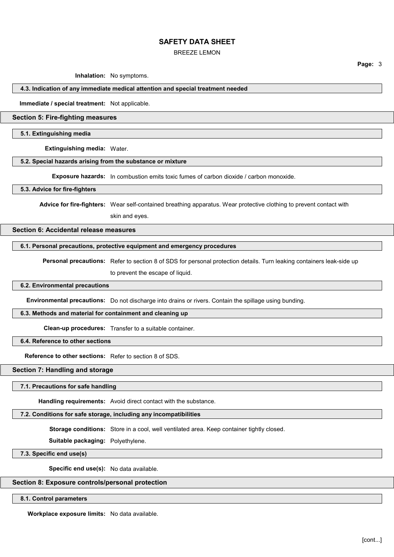#### BREEZE LEMON

**Inhalation:** No symptoms.

#### **4.3. Indication of any immediate medical attention and special treatment needed**

**Immediate / special treatment:** Not applicable.

#### **Section 5: Fire-fighting measures**

**5.1. Extinguishing media**

**Extinguishing media:** Water.

#### **5.2. Special hazards arising from the substance or mixture**

**Exposure hazards:** In combustion emits toxic fumes of carbon dioxide / carbon monoxide.

#### **5.3. Advice for fire-fighters**

**Advice for fire-fighters:** Wear self-contained breathing apparatus. Wear protective clothing to prevent contact with

skin and eyes.

# **Section 6: Accidental release measures**

## **6.1. Personal precautions, protective equipment and emergency procedures**

**Personal precautions:** Refer to section 8 of SDS for personal protection details. Turn leaking containers leak-side up to prevent the escape of liquid.

### **6.2. Environmental precautions**

**Environmental precautions:** Do not discharge into drains or rivers. Contain the spillage using bunding.

#### **6.3. Methods and material for containment and cleaning up**

**Clean-up procedures:** Transfer to a suitable container.

#### **6.4. Reference to other sections**

**Reference to other sections:** Refer to section 8 of SDS.

## **Section 7: Handling and storage**

## **7.1. Precautions for safe handling**

**Handling requirements:** Avoid direct contact with the substance.

# **7.2. Conditions for safe storage, including any incompatibilities**

**Storage conditions:** Store in a cool, well ventilated area. Keep container tightly closed.

**Suitable packaging:** Polyethylene.

**7.3. Specific end use(s)**

**Specific end use(s):** No data available.

## **Section 8: Exposure controls/personal protection**

**8.1. Control parameters**

**Workplace exposure limits:** No data available.

**Page:** 3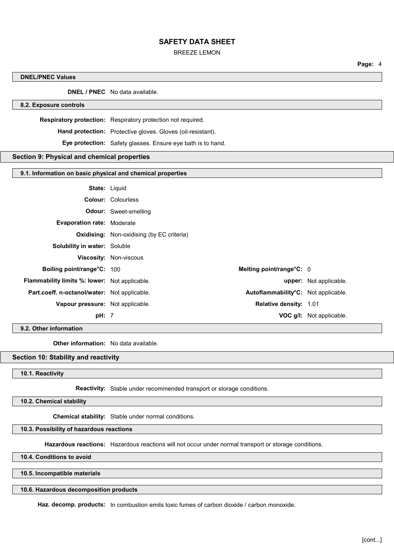#### BREEZE LEMON

**Page:** 4

| <b>DNEL/PNEC Values</b>                                    |                                                              |                          |
|------------------------------------------------------------|--------------------------------------------------------------|--------------------------|
|                                                            | <b>DNEL / PNEC</b> No data available.                        |                          |
| 8.2. Exposure controls                                     |                                                              |                          |
|                                                            | Respiratory protection: Respiratory protection not required. |                          |
|                                                            | Hand protection: Protective gloves. Gloves (oil-resistant).  |                          |
|                                                            | Eye protection: Safety glasses. Ensure eye bath is to hand.  |                          |
| Section 9: Physical and chemical properties                |                                                              |                          |
| 9.1. Information on basic physical and chemical properties |                                                              |                          |
|                                                            |                                                              |                          |
| <b>State: Liquid</b>                                       |                                                              |                          |
|                                                            | <b>Colour: Colourless</b>                                    |                          |
|                                                            | <b>Odour:</b> Sweet-smelling                                 |                          |
| Evaporation rate: Moderate                                 |                                                              |                          |
|                                                            | <b>Oxidising:</b> Non-oxidising (by EC criteria)             |                          |
| Solubility in water: Soluble                               |                                                              |                          |
|                                                            | Viscosity: Non-viscous                                       |                          |
| Boiling point/range°C: 100                                 | Melting point/range°C: 0                                     |                          |
| Flammability limits %: lower: Not applicable.              |                                                              | upper: Not applicable.   |
| Part.coeff. n-octanol/water: Not applicable.               | Autoflammability°C: Not applicable.                          |                          |
| Vapour pressure: Not applicable.                           | Relative density: 1.01                                       |                          |
| pH: 7                                                      |                                                              | VOC g/l: Not applicable. |

**9.2. Other information**

**Other information:** No data available.

## **Section 10: Stability and reactivity**

**10.1. Reactivity**

**Reactivity:** Stable under recommended transport or storage conditions.

**10.2. Chemical stability**

**Chemical stability:** Stable under normal conditions.

## **10.3. Possibility of hazardous reactions**

**Hazardous reactions:** Hazardous reactions will not occur under normal transport or storage conditions.

**10.4. Conditions to avoid**

**10.5. Incompatible materials**

**10.6. Hazardous decomposition products**

**Haz. decomp. products:** In combustion emits toxic fumes of carbon dioxide / carbon monoxide.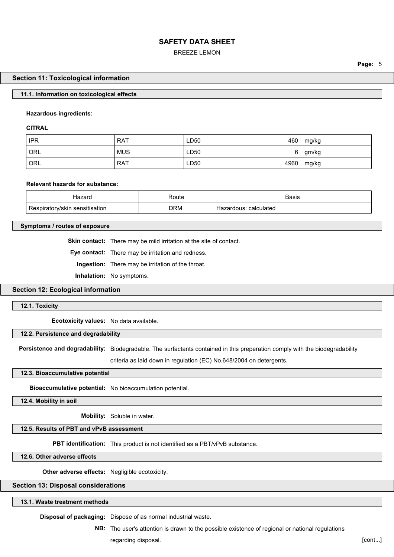BREEZE LEMON

#### **Section 11: Toxicological information**

#### **11.1. Information on toxicological effects**

## **Hazardous ingredients:**

**CITRAL**

| <b>IPR</b>         | <b>RAT</b> | LD50 | 460  | mg/kg |
|--------------------|------------|------|------|-------|
| ORL                | <b>MUS</b> | LD50 |      | gm/kg |
| $\overline{O}$ ORL | <b>RAT</b> | LD50 | 4960 | mg/kg |

#### **Relevant hazards for substance:**

| Hazaro                                | Route      | Basis                      |
|---------------------------------------|------------|----------------------------|
| .<br>⊧sensitisation<br>.piratorv/skin | <b>DRM</b> | calculated<br>. Hazardous: |

#### **Symptoms / routes of exposure**

**Skin contact:** There may be mild irritation at the site of contact.

**Eye contact:** There may be irritation and redness.

**Ingestion:** There may be irritation of the throat.

**Inhalation:** No symptoms.

## **Section 12: Ecological information**

#### **12.1. Toxicity**

**Ecotoxicity values:** No data available.

#### **12.2. Persistence and degradability**

**Persistence and degradability:** Biodegradable. The surfactants contained in this preperation comply with the biodegradability

criteria as laid down in regulation (EC) No.648/2004 on detergents.

#### **12.3. Bioaccumulative potential**

**Bioaccumulative potential:** No bioaccumulation potential.

**12.4. Mobility in soil**

**Mobility:** Soluble in water.

## **12.5. Results of PBT and vPvB assessment**

**PBT identification:** This product is not identified as a PBT/vPvB substance.

**12.6. Other adverse effects**

**Other adverse effects:** Negligible ecotoxicity.

#### **Section 13: Disposal considerations**

## **13.1. Waste treatment methods**

**Disposal of packaging:** Dispose of as normal industrial waste.

**NB:** The user's attention is drawn to the possible existence of regional or national regulations regarding disposal. **[cont...]** *cont...***]** *cont...***]** *cont...***]** 

**Page:** 5